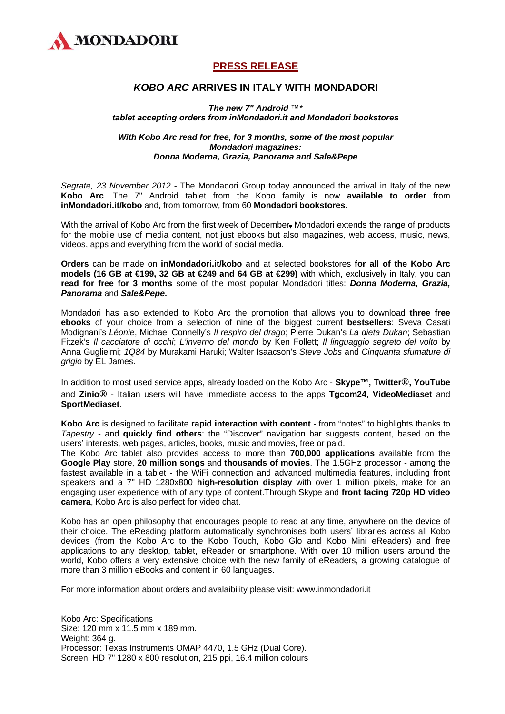

## **PRESS RELEASE**

## *KOBO ARC* **ARRIVES IN ITALY WITH MONDADORI**

*The new 7" Android ™\* tablet accepting orders from inMondadori.it and Mondadori bookstores* 

## *With Kobo Arc read for free, for 3 months, some of the most popular Mondadori magazines: Donna Moderna, Grazia, Panorama and Sale&Pepe*

*Segrate, 23 November 2012* - The Mondadori Group today announced the arrival in Italy of the new **Kobo Arc**. The 7" Android tablet from the Kobo family is now **available to order** from **inMondadori.it/kobo** and, from tomorrow, from 60 **Mondadori bookstores**.

With the arrival of Kobo Arc from the first week of December, Mondadori extends the range of products for the mobile use of media content, not just ebooks but also magazines, web access, music, news, videos, apps and everything from the world of social media.

**Orders** can be made on **inMondadori.it/kobo** and at selected bookstores **for all of the Kobo Arc models (16 GB at €199, 32 GB at €249 and 64 GB at €299)** with which, exclusively in Italy, you can **read for free for 3 months** some of the most popular Mondadori titles: *Donna Moderna, Grazia, Panorama* and *Sale&Pepe***.** 

Mondadori has also extended to Kobo Arc the promotion that allows you to download **three free ebooks** of your choice from a selection of nine of the biggest current **bestsellers**: Sveva Casati Modignani's *Léonie*, Michael Connelly's *Il respiro del drago*; Pierre Dukan's *La dieta Dukan*; Sebastian Fitzek's *Il cacciatore di occhi*; *L'inverno del mondo* by Ken Follett; *Il linguaggio segreto del volto* by Anna Guglielmi; *1Q84* by Murakami Haruki; Walter Isaacson's *Steve Jobs* and *Cinquanta sfumature di grigio* by EL James.

In addition to most used service apps, already loaded on the Kobo Arc - **Skype™, Twitter®, YouTube**  and **Zinio®** - Italian users will have immediate access to the apps **Tgcom24, VideoMediaset** and **SportMediaset**.

**Kobo Arc** is designed to facilitate **rapid interaction with content** - from "notes" to highlights thanks to *Tapestry* - and **quickly find others**: the "Discover" navigation bar suggests content, based on the users' interests, web pages, articles, books, music and movies, free or paid.

The Kobo Arc tablet also provides access to more than **700,000 applications** available from the **Google Play** store, **20 million songs** and **thousands of movies**. The 1.5GHz processor - among the fastest available in a tablet - the WiFi connection and advanced multimedia features, including front speakers and a 7'' HD 1280x800 **high-resolution display** with over 1 million pixels, make for an engaging user experience with of any type of content.Through Skype and **front facing 720p HD video camera**, Kobo Arc is also perfect for video chat.

Kobo has an open philosophy that encourages people to read at any time, anywhere on the device of their choice. The eReading platform automatically synchronises both users' libraries across all Kobo devices (from the Kobo Arc to the Kobo Touch, Kobo Glo and Kobo Mini eReaders) and free applications to any desktop, tablet, eReader or smartphone. With over 10 million users around the world, Kobo offers a very extensive choice with the new family of eReaders, a growing catalogue of more than 3 million eBooks and content in 60 languages.

For more information about orders and avalaibility please visit: [www.inmondadori.it](http://www.inmondadori.it/)

Kobo Arc: Specifications Size: 120 mm x 11.5 mm x 189 mm. Weight: 364 g. Processor: Texas Instruments OMAP 4470, 1.5 GHz (Dual Core). Screen: HD 7" 1280 x 800 resolution, 215 ppi, 16.4 million colours